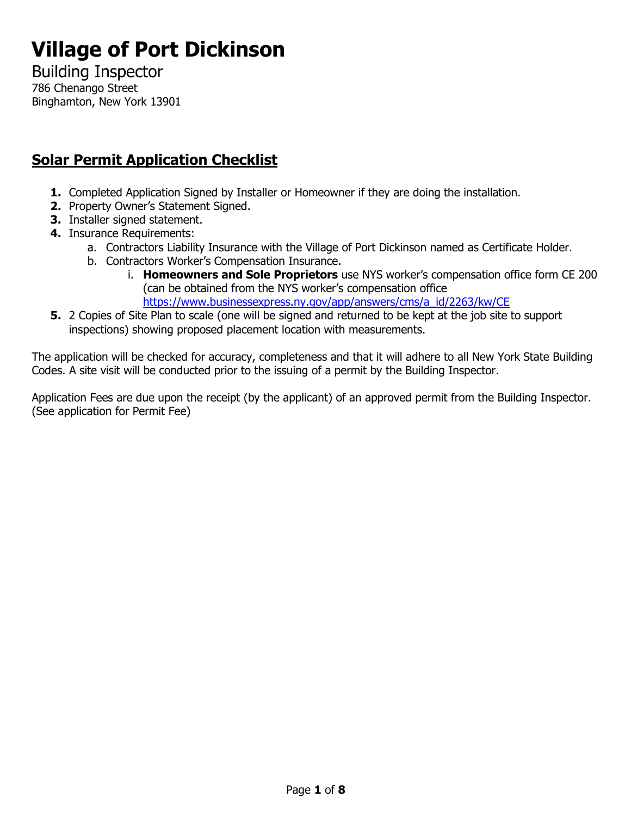# **Village of Port Dickinson**

Building Inspector 786 Chenango Street Binghamton, New York 13901

## **Solar Permit Application Checklist**

- **1.** Completed Application Signed by Installer or Homeowner if they are doing the installation.
- **2.** Property Owner's Statement Signed.
- **3.** Installer signed statement.
- **4.** Insurance Requirements:
	- a. Contractors Liability Insurance with the Village of Port Dickinson named as Certificate Holder.
	- b. Contractors Worker's Compensation Insurance.
		- i. **Homeowners and Sole Proprietors** use NYS worker's compensation office form CE 200 (can be obtained from the NYS worker's compensation office [https://www.businessexpress.ny.gov/app/answers/cms/a\\_id/2263/kw/CE](https://www.businessexpress.ny.gov/app/answers/cms/a_id/2263/kw/CE)
- **5.** 2 Copies of Site Plan to scale (one will be signed and returned to be kept at the job site to support inspections) showing proposed placement location with measurements.

The application will be checked for accuracy, completeness and that it will adhere to all New York State Building Codes. A site visit will be conducted prior to the issuing of a permit by the Building Inspector.

Application Fees are due upon the receipt (by the applicant) of an approved permit from the Building Inspector. (See application for Permit Fee)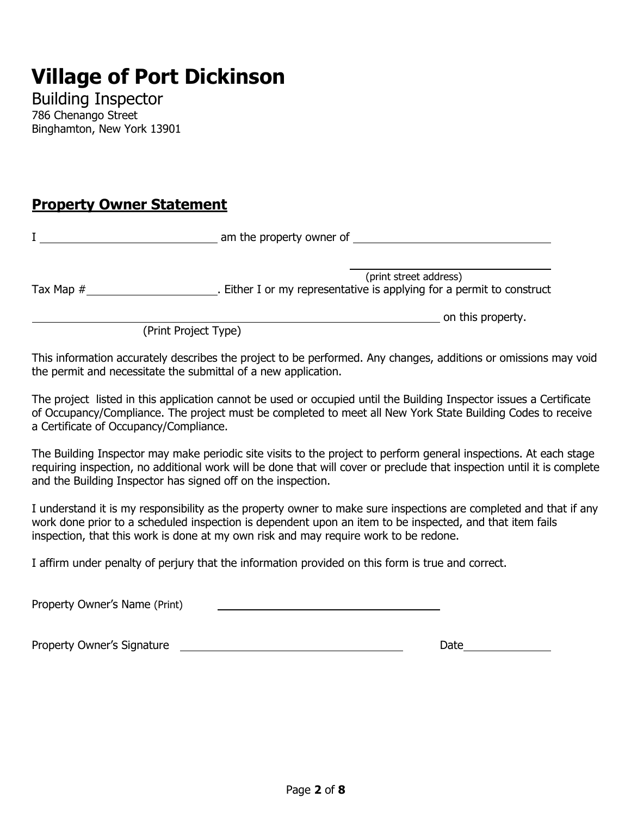## **Village of Port Dickinson**

Building Inspector 786 Chenango Street Binghamton, New York 13901

## **Property Owner Statement**

|             | am the property owner of                                                                      |
|-------------|-----------------------------------------------------------------------------------------------|
| Tax Map $#$ | (print street address)<br>Either I or my representative is applying for a permit to construct |
|             | on this property.                                                                             |

(Print Project Type)

This information accurately describes the project to be performed. Any changes, additions or omissions may void the permit and necessitate the submittal of a new application.

The project listed in this application cannot be used or occupied until the Building Inspector issues a Certificate of Occupancy/Compliance. The project must be completed to meet all New York State Building Codes to receive a Certificate of Occupancy/Compliance.

The Building Inspector may make periodic site visits to the project to perform general inspections. At each stage requiring inspection, no additional work will be done that will cover or preclude that inspection until it is complete and the Building Inspector has signed off on the inspection.

I understand it is my responsibility as the property owner to make sure inspections are completed and that if any work done prior to a scheduled inspection is dependent upon an item to be inspected, and that item fails inspection, that this work is done at my own risk and may require work to be redone.

I affirm under penalty of perjury that the information provided on this form is true and correct.

Property Owner's Name (Print)

Property Owner's Signature Date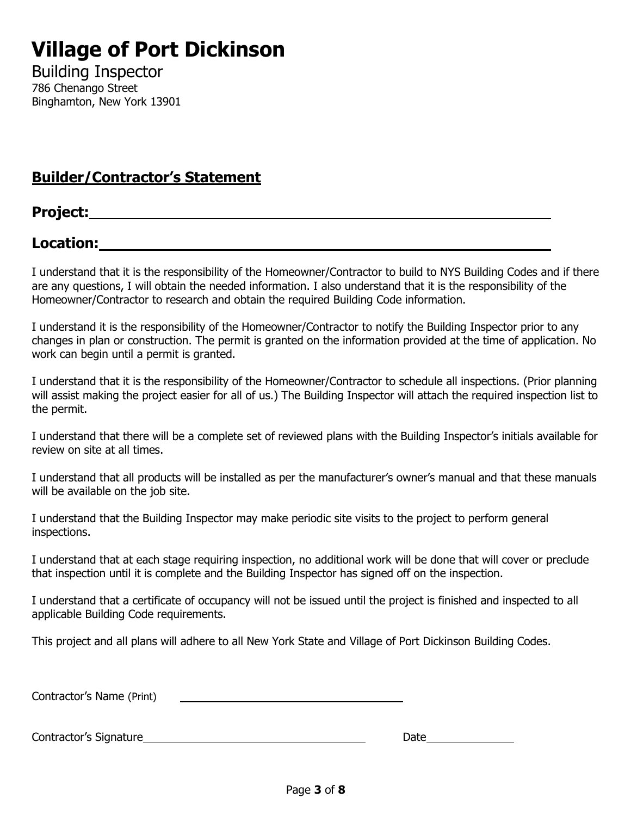# **Village of Port Dickinson**

Building Inspector 786 Chenango Street Binghamton, New York 13901

## **Builder/Contractor's Statement**

## **Project:**

## **Location:**

I understand that it is the responsibility of the Homeowner/Contractor to build to NYS Building Codes and if there are any questions, I will obtain the needed information. I also understand that it is the responsibility of the Homeowner/Contractor to research and obtain the required Building Code information.

I understand it is the responsibility of the Homeowner/Contractor to notify the Building Inspector prior to any changes in plan or construction. The permit is granted on the information provided at the time of application. No work can begin until a permit is granted.

I understand that it is the responsibility of the Homeowner/Contractor to schedule all inspections. (Prior planning will assist making the project easier for all of us.) The Building Inspector will attach the required inspection list to the permit.

I understand that there will be a complete set of reviewed plans with the Building Inspector's initials available for review on site at all times.

I understand that all products will be installed as per the manufacturer's owner's manual and that these manuals will be available on the job site.

I understand that the Building Inspector may make periodic site visits to the project to perform general inspections.

I understand that at each stage requiring inspection, no additional work will be done that will cover or preclude that inspection until it is complete and the Building Inspector has signed off on the inspection.

I understand that a certificate of occupancy will not be issued until the project is finished and inspected to all applicable Building Code requirements.

This project and all plans will adhere to all New York State and Village of Port Dickinson Building Codes.

Contractor's Name (Print)

Contractor's Signature Date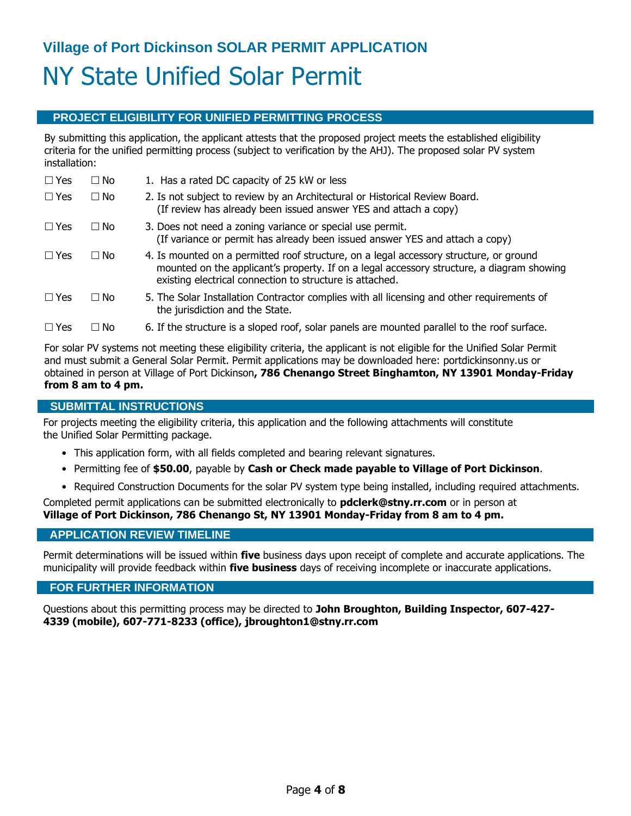## **PROJECT ELIGIBILITY FOR UNIFIED PERMITTING PROCESS**

By submitting this application, the applicant attests that the proposed project meets the established eligibility criteria for the unified permitting process (subject to verification by the AHJ). The proposed solar PV system installation:

| $\Box$ Yes | $\Box$ No | 1. Has a rated DC capacity of 25 kW or less                                                                                                                                                                                                     |
|------------|-----------|-------------------------------------------------------------------------------------------------------------------------------------------------------------------------------------------------------------------------------------------------|
| $\Box$ Yes | $\Box$ No | 2. Is not subject to review by an Architectural or Historical Review Board.<br>(If review has already been issued answer YES and attach a copy)                                                                                                 |
| $\Box$ Yes | $\Box$ No | 3. Does not need a zoning variance or special use permit.<br>(If variance or permit has already been issued answer YES and attach a copy)                                                                                                       |
| $\Box$ Yes | $\Box$ No | 4. Is mounted on a permitted roof structure, on a legal accessory structure, or ground<br>mounted on the applicant's property. If on a legal accessory structure, a diagram showing<br>existing electrical connection to structure is attached. |
| $\Box$ Yes | $\Box$ No | 5. The Solar Installation Contractor complies with all licensing and other requirements of<br>the jurisdiction and the State.                                                                                                                   |
| $\Box$ Yes | ∩ No      | 6. If the structure is a sloped roof, solar panels are mounted parallel to the roof surface.                                                                                                                                                    |

For solar PV systems not meeting these eligibility criteria, the applicant is not eligible for the Unified Solar Permit and must submit a General Solar Permit. Permit applications may be downloaded here: portdickinsonny.us or obtained in person at Village of Port Dickinson**, 786 Chenango Street Binghamton, NY 13901 Monday-Friday from 8 am to 4 pm.**

### **SUBMITTAL INSTRUCTIONS**

For projects meeting the eligibility criteria, this application and the following attachments will constitute the Unified Solar Permitting package.

- This application form, with all fields completed and bearing relevant signatures.
- Permitting fee of **\$50.00**, payable by **Cash or Check made payable to Village of Port Dickinson**.
- Required Construction Documents for the solar PV system type being installed, including required attachments.

Completed permit applications can be submitted electronically to **pdclerk@stny.rr.com** or in person at **Village of Port Dickinson, 786 Chenango St, NY 13901 Monday-Friday from 8 am to 4 pm.**

## **APPLICATION REVIEW TIMELINE**

Permit determinations will be issued within **five** business days upon receipt of complete and accurate applications. The municipality will provide feedback within **five business** days of receiving incomplete or inaccurate applications.

#### **FOR FURTHER INFORMATION**

Questions about this permitting process may be directed to **John Broughton, Building Inspector, 607-427- 4339 (mobile), 607-771-8233 (office), jbroughton1@stny.rr.com**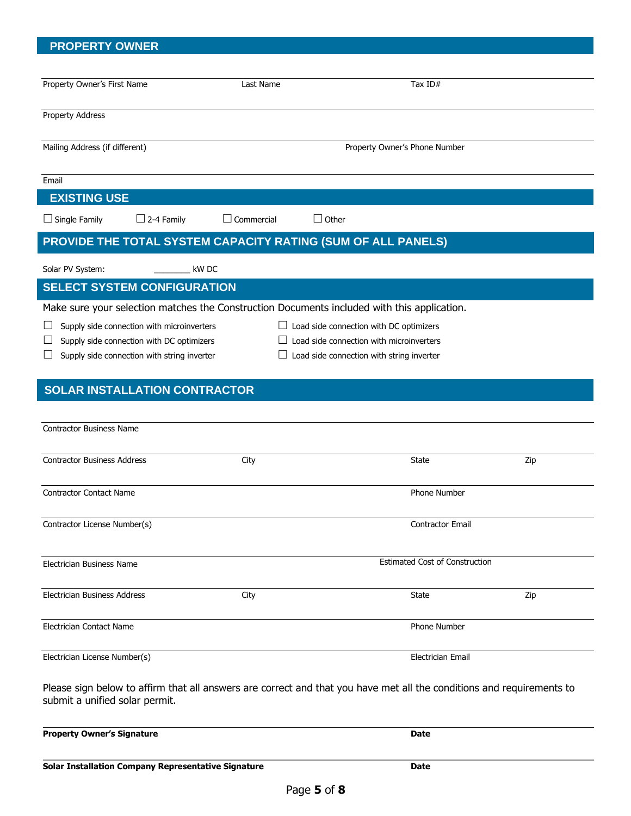## **PROPERTY OWNER**

|                                                                                                                                                                   | Last Name                         | Tax $ID#$                                      |     |
|-------------------------------------------------------------------------------------------------------------------------------------------------------------------|-----------------------------------|------------------------------------------------|-----|
| <b>Property Address</b>                                                                                                                                           |                                   |                                                |     |
| Mailing Address (if different)                                                                                                                                    |                                   | Property Owner's Phone Number                  |     |
| Email                                                                                                                                                             |                                   |                                                |     |
| <b>EXISTING USE</b>                                                                                                                                               |                                   |                                                |     |
| $\Box$ Single Family<br>$\Box$ 2-4 Family                                                                                                                         | $\Box$ Commercial<br>$\Box$ Other |                                                |     |
| PROVIDE THE TOTAL SYSTEM CAPACITY RATING (SUM OF ALL PANELS)                                                                                                      |                                   |                                                |     |
| Solar PV System:                                                                                                                                                  | kW DC                             |                                                |     |
| <b>SELECT SYSTEM CONFIGURATION</b>                                                                                                                                |                                   |                                                |     |
| Make sure your selection matches the Construction Documents included with this application.                                                                       |                                   |                                                |     |
| Supply side connection with microinverters                                                                                                                        |                                   | $\Box$ Load side connection with DC optimizers |     |
| Supply side connection with DC optimizers                                                                                                                         |                                   | Load side connection with microinverters       |     |
| Supply side connection with string inverter                                                                                                                       |                                   | Load side connection with string inverter      |     |
|                                                                                                                                                                   |                                   |                                                |     |
| <b>SOLAR INSTALLATION CONTRACTOR</b>                                                                                                                              |                                   |                                                |     |
|                                                                                                                                                                   |                                   |                                                |     |
| <b>Contractor Business Name</b>                                                                                                                                   |                                   |                                                |     |
|                                                                                                                                                                   |                                   |                                                |     |
|                                                                                                                                                                   |                                   |                                                |     |
|                                                                                                                                                                   | City                              | State                                          | Zip |
|                                                                                                                                                                   |                                   |                                                |     |
|                                                                                                                                                                   |                                   | <b>Phone Number</b>                            |     |
|                                                                                                                                                                   |                                   |                                                |     |
|                                                                                                                                                                   |                                   | Contractor Email                               |     |
|                                                                                                                                                                   |                                   |                                                |     |
|                                                                                                                                                                   |                                   | <b>Estimated Cost of Construction</b>          |     |
| <b>Contractor Business Address</b><br><b>Contractor Contact Name</b><br>Contractor License Number(s)<br>Electrician Business Name<br>Electrician Business Address | City                              | <b>State</b>                                   | Zip |
| Electrician Contact Name                                                                                                                                          |                                   | Phone Number                                   |     |
| Electrician License Number(s)                                                                                                                                     |                                   | Electrician Email                              |     |

**Property Owner's Signature Date**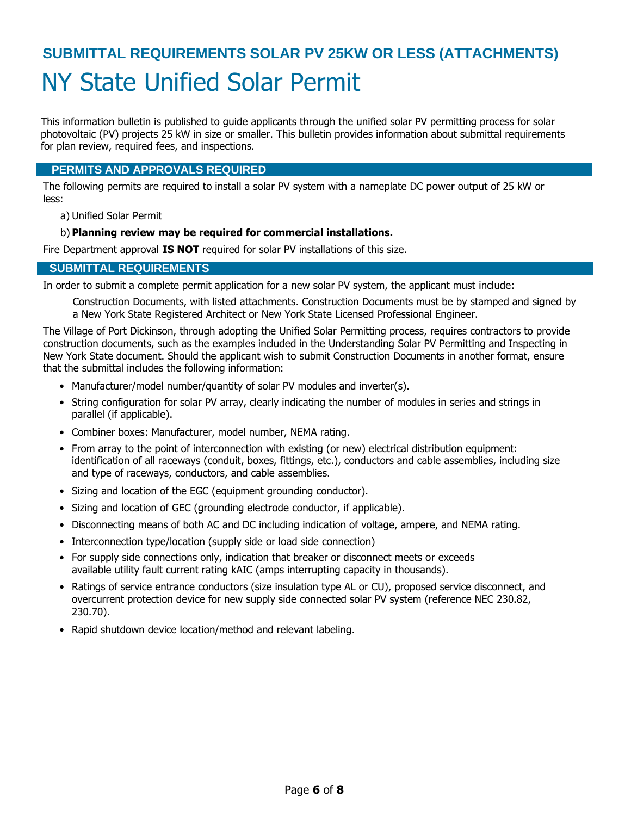# **SUBMITTAL REQUIREMENTS SOLAR PV 25KW OR LESS (ATTACHMENTS)** NY State Unified Solar Permit

This information bulletin is published to guide applicants through the unified solar PV permitting process for solar photovoltaic (PV) projects 25 kW in size or smaller. This bulletin provides information about submittal requirements for plan review, required fees, and inspections.

## **PERMITS AND APPROVALS REQUIRED**

The following permits are required to install a solar PV system with a nameplate DC power output of 25 kW or less:

a) Unified Solar Permit

## b) **Planning review may be required for commercial installations.**

Fire Department approval **IS NOT** required for solar PV installations of this size.

## **SUBMITTAL REQUIREMENTS**

In order to submit a complete permit application for a new solar PV system, the applicant must include:

Construction Documents, with listed attachments. Construction Documents must be by stamped and signed by a New York State Registered Architect or New York State Licensed Professional Engineer.

The Village of Port Dickinson, through adopting the Unified Solar Permitting process, requires contractors to provide construction documents, such as the examples included in the Understanding Solar PV Permitting and Inspecting in New York State document. Should the applicant wish to submit Construction Documents in another format, ensure that the submittal includes the following information:

- Manufacturer/model number/quantity of solar PV modules and inverter(s).
- String configuration for solar PV array, clearly indicating the number of modules in series and strings in parallel (if applicable).
- Combiner boxes: Manufacturer, model number, NEMA rating.
- From array to the point of interconnection with existing (or new) electrical distribution equipment: identification of all raceways (conduit, boxes, fittings, etc.), conductors and cable assemblies, including size and type of raceways, conductors, and cable assemblies.
- Sizing and location of the EGC (equipment grounding conductor).
- Sizing and location of GEC (grounding electrode conductor, if applicable).
- Disconnecting means of both AC and DC including indication of voltage, ampere, and NEMA rating.
- Interconnection type/location (supply side or load side connection)
- For supply side connections only, indication that breaker or disconnect meets or exceeds available utility fault current rating kAIC (amps interrupting capacity in thousands).
- Ratings of service entrance conductors (size insulation type AL or CU), proposed service disconnect, and overcurrent protection device for new supply side connected solar PV system (reference NEC 230.82, 230.70).
- Rapid shutdown device location/method and relevant labeling.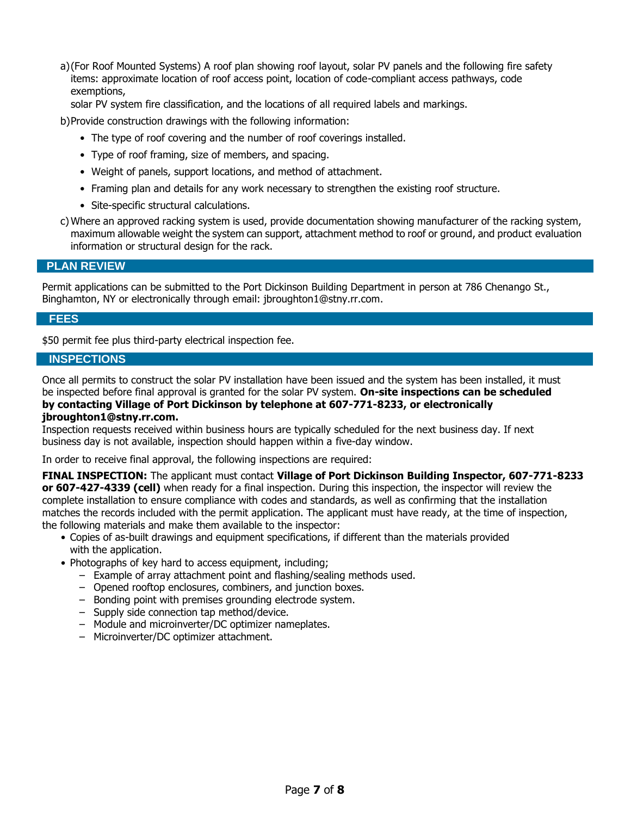a)(For Roof Mounted Systems) A roof plan showing roof layout, solar PV panels and the following fire safety items: approximate location of roof access point, location of code-compliant access pathways, code exemptions,

solar PV system fire classification, and the locations of all required labels and markings.

b)Provide construction drawings with the following information:

- The type of roof covering and the number of roof coverings installed.
- Type of roof framing, size of members, and spacing.
- Weight of panels, support locations, and method of attachment.
- Framing plan and details for any work necessary to strengthen the existing roof structure.
- Site-specific structural calculations.
- c) Where an approved racking system is used, provide documentation showing manufacturer of the racking system, maximum allowable weight the system can support, attachment method to roof or ground, and product evaluation information or structural design for the rack.

### **PLAN REVIEW**

Permit applications can be submitted to the Port Dickinson Building Department in person at 786 Chenango St., Binghamton, NY or electronically through email: jbroughton1@stny.rr.com.

#### **FEES**

\$50 permit fee plus third-party electrical inspection fee.

## **INSPECTIONS**

Once all permits to construct the solar PV installation have been issued and the system has been installed, it must be inspected before final approval is granted for the solar PV system. **On-site inspections can be scheduled by contacting Village of Port Dickinson by telephone at 607-771-8233, or electronically** 

#### **jbroughton1@stny.rr.com.**

Inspection requests received within business hours are typically scheduled for the next business day. If next business day is not available, inspection should happen within a five-day window.

In order to receive final approval, the following inspections are required:

**FINAL INSPECTION:** The applicant must contact **Village of Port Dickinson Building Inspector, 607-771-8233 or 607-427-4339 (cell)** when ready for a final inspection. During this inspection, the inspector will review the complete installation to ensure compliance with codes and standards, as well as confirming that the installation matches the records included with the permit application. The applicant must have ready, at the time of inspection, the following materials and make them available to the inspector:

- Copies of as-built drawings and equipment specifications, if different than the materials provided with the application.
- Photographs of key hard to access equipment, including:
	- Example of array attachment point and flashing/sealing methods used.
	- Opened rooftop enclosures, combiners, and junction boxes.
	- Bonding point with premises grounding electrode system.
	- Supply side connection tap method/device.
	- Module and microinverter/DC optimizer nameplates.
	- Microinverter/DC optimizer attachment.